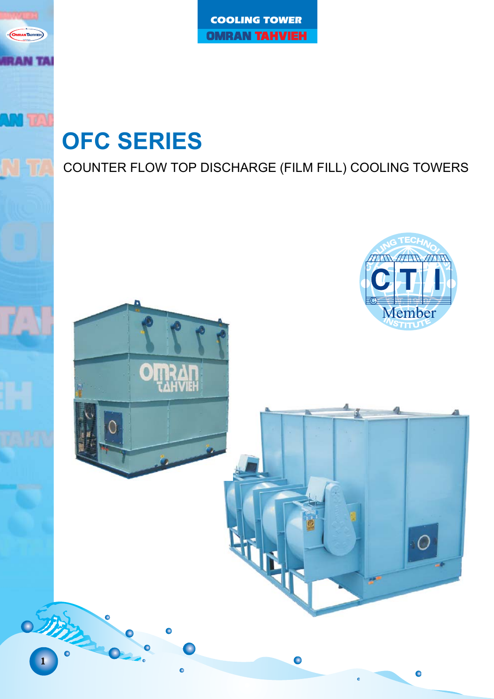# **OFC SERIES**

**IRANTAHVIEH** 

**AN TA** 

COUNTER FLOW TOP DISCHARGE (FILM FILL) COOLING TOWERS

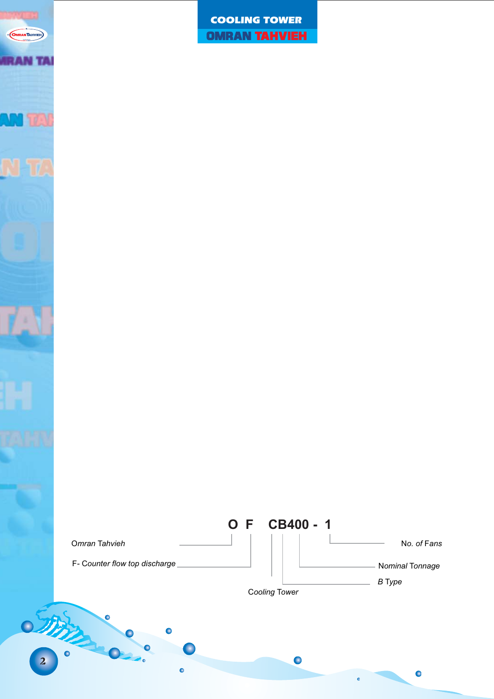

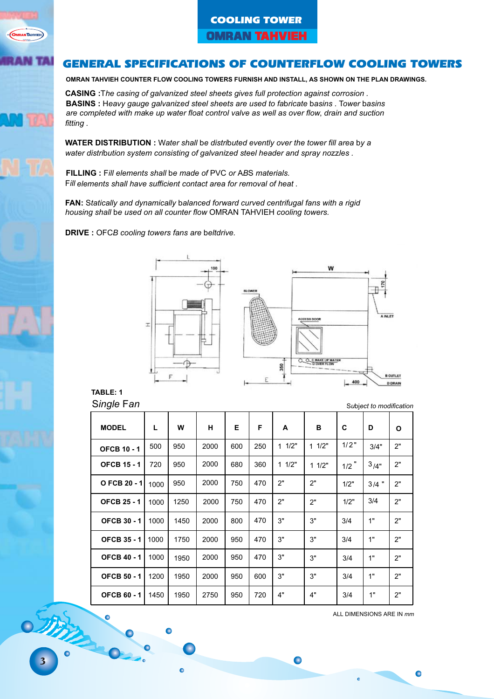### GENERAL SPECIFICATIONS OF COUNTERFLOW COOLING TOWERS

**OMRAN TAHVIEH COUNTER FLOW COOLING TOWERS FURNISH AND INSTALL, AS SHOWN ON THE PLAN DRAWINGS.**

**CASING :**The casing of galvanized steel sheets gives full protection against corrosion . **BASINS :** Heavy gauge galvanized steel sheets are used to fabricate basins . Tower basins are completed with make up water float control valve as well as over flow, drain and suction fitting .

**WATER DISTRIBUTION :** Water shall be distributed evently over the tower fill area by a water distribution system consisting of galvanized steel header and spray nozzles.

**FILLING :** Fill elements shall be made of PVC or ABS materials. Fill elements shall have sufficient contact area for removal of heat .

**FAN:** Statically and dynamically balanced forward curved centrifugal fans with a rigid housing shall be used on all counter flow OMRAN TAHVIEH cooling towers.

**DRIVE** : OFCB cooling towers fans are beltdrive.



**TABLE: 1** Single Fan

| <b>MODEL</b>       | L    | W    | н    | Е   | F   | A     | в     | C       | D       | O  |
|--------------------|------|------|------|-----|-----|-------|-------|---------|---------|----|
| <b>OFCB 10 - 1</b> | 500  | 950  | 2000 | 600 | 250 | 11/2" | 11/2" | 1/2"    | 3/4"    | 2" |
| <b>OFCB 15 - 1</b> | 720  | 950  | 2000 | 680 | 360 | 11/2" | 11/2" | $1/2$ " | 3/4"    | 2" |
| O FCB 20 - 1       | 1000 | 950  | 2000 | 750 | 470 | 2"    | 2"    | 1/2"    | $3/4$ " | 2" |
| <b>OFCB 25 - 1</b> | 1000 | 1250 | 2000 | 750 | 470 | 2"    | 2"    | 1/2"    | 3/4     | 2" |
| <b>OFCB 30 - 1</b> | 1000 | 1450 | 2000 | 800 | 470 | 3"    | 3"    | 3/4     | 1"      | 2" |
| <b>OFCB 35 - 1</b> | 1000 | 1750 | 2000 | 950 | 470 | 3"    | 3"    | 3/4     | 1"      | 2" |
| <b>OFCB 40 - 1</b> | 1000 | 1950 | 2000 | 950 | 470 | 3"    | 3"    | 3/4     | 1"      | 2" |
| <b>OFCB 50 - 1</b> | 1200 | 1950 | 2000 | 950 | 600 | 3"    | 3"    | 3/4     | 1"      | 2" |
| <b>OFCB 60 - 1</b> | 1450 | 1950 | 2750 | 950 | 720 | 4"    | 4"    | 3/4     | 1"      | 2" |

 $\bullet$ 

ALL DIMENSIONS ARE IN mm

 $\bullet$ 

3

**STATE** 

**NTAHVIEH** 

**MATA**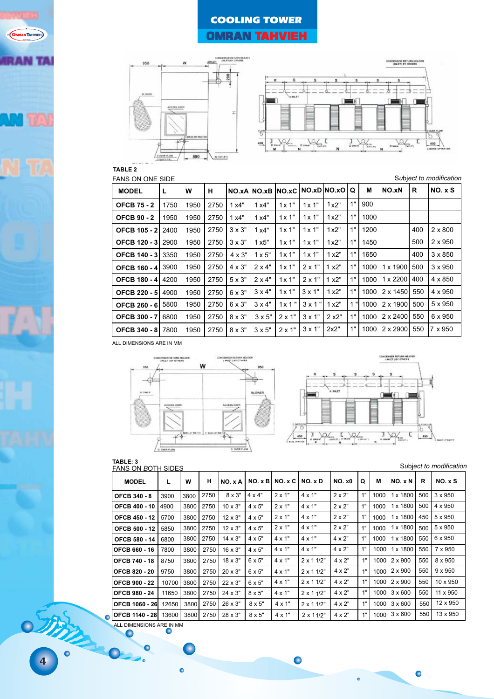



#### **TABLE 2**

**OMRANTAHVIEH** 

**AN TA** 

FANS ON ONE SIDE **Subject to modification** 

| <b>MODEL</b>              | L    | W    | н    |               | NO.xA  NO.xB  NO.xC   NO.xD  NO.xO   Q |                |                |       |    | м    | INO.xN          | R   | NO. xS         |
|---------------------------|------|------|------|---------------|----------------------------------------|----------------|----------------|-------|----|------|-----------------|-----|----------------|
| <b>OFCB 75 - 2</b>        | 1750 | 1950 | 2750 | 1x4"          | 1x4"                                   | 1x1"           | 1x1"           | 1x2"  | 1" | 900  |                 |     |                |
| <b>OFCB 90 - 2</b>        | 1950 | 1950 | 2750 | 1x4"          | 1x4"                                   | $1 \times 1$ " | 1x1"           | 1x2"  | 1" | 1000 |                 |     |                |
| <b>OFCB 105 - 2 2400</b>  |      | 1950 | 2750 | $3 \times 3"$ | 1x4"                                   | 1x1"           | 1x1"           | 1x2"  | 1" | 1200 |                 | 400 | $2 \times 800$ |
| <b>OFCB 120 - 3 2900</b>  |      | 1950 | 2750 | $3 \times 3"$ | 1x5"                                   | 1x1"           | 1x1"           | 1x2"  | 1" | 1450 |                 | 500 | $2 \times 950$ |
| <b>OFCB 140 - 31 3350</b> |      | 1950 | 2750 | $4 \times 3"$ | $1 \times 5"$                          | 1x1"           | 1x1"           | 1x2"  | 1" | 1650 |                 | 400 | $3 \times 850$ |
| OFCB 160 - 4 3900         |      | 1950 | 2750 | $4 \times 3"$ | $2 \times 4"$                          | $1 \times 1$ " | $2 \times 1"$  | 1 x2" | 1" | 1000 | $1 \times 1900$ | 500 | $3 \times 950$ |
| <b>OFCB 180 - 4 4200</b>  |      | 1950 | 2750 | $5 \times 3"$ | $2 \times 4"$                          | $1 \times 1$ " | $2 \times 1"$  | 1 x2" | 1" | 1000 | $1 \times 2200$ | 400 | $4 \times 850$ |
| <b>OFCB 220 - 51</b>      | 4900 | 1950 | 2750 | $6 \times 3"$ | $3 \times 4"$                          | 1x1"           | $3 \times 1"$  | 1x2"  | 1" | 1000 | l2 x 1450l      | 550 | $4 \times 950$ |
| OFCB 260 - 6 5800         |      | 1950 | 2750 | $6 \times 3"$ | $3 \times 4"$                          | 1x1"           | $3 \times 1$ " | 1x2"  | 1" | 1000 | 2 x 1900        | 500 | $5 \times 950$ |
| <b>OFCB 300 - 7 6800</b>  |      | 1950 | 2750 | $8 \times 3"$ | $3 \times 5"$                          | $2 \times 1"$  | $3 \times 1"$  | 2 x2" | 1" | 1000 | $2 \times 2400$ | 550 | 6 x 950        |
| <b>OFCB 340 - 8 7800</b>  |      | 1950 | 2750 | $8 \times 3"$ | $3 \times 5"$                          | $2 \times 1"$  | $3 \times 1"$  | 2x2"  | 1" | 1000 | I2 x 2900I      | 550 | I7 x 950       |

ALL DIMENSIONS ARE IN MM





### **TABLE: 3** FANS ON BOTH SIDES

Subject to modification

 $\bullet$ 

 $\ddot{\bullet}$ 

| FAING UIN DUTH GILLG  |       |      |      |                |               |               |                   |               |    |      |                 |     |                |
|-----------------------|-------|------|------|----------------|---------------|---------------|-------------------|---------------|----|------|-----------------|-----|----------------|
| <b>MODEL</b>          | L     | w    | н    | NO. x A        |               | NO. xB NO. xC | NO. x D           | <b>NO. x0</b> | Q  | м    | NO. x N         | R   | NO. xS         |
| <b>OFCB 340 - 8</b>   | 3900  | 3800 | 2750 | $8 \times 3"$  | $4 \times 4"$ | $2 \times 1"$ | $4 \times 1"$     | $2 \times 2"$ | 1" | 1000 | 1 x 1800        | 500 | $3 \times 950$ |
| <b>OFCB 400 - 10</b>  | 4900  | 3800 | 2750 | $10 \times 3"$ | $4 \times 5"$ | $2 \times 1"$ | $4 \times 1"$     | $2 \times 2"$ | 1" | 1000 | 1 x 1800        | 500 | 4 x 950        |
| <b>OFCB 450 - 12</b>  | 5700  | 3800 | 2750 | $12 \times 3"$ | $4 \times 5"$ | $2 \times 1"$ | $4 \times 1"$     | $2 \times 2"$ | 1" | 1000 | $1 \times 1800$ | 450 | 5 x 950        |
| <b>OFCB 500 - 12</b>  | 5850  | 3800 | 2750 | $12 \times 3"$ | $4 \times 5"$ | $2 \times 1"$ | $4 \times 1"$     | $2 \times 2"$ | 1" | 1000 | $1 \times 1800$ | 500 | 5 x 950        |
| <b>OFCB 580 - 14</b>  | 6800  | 3800 | 2750 | $14 \times 3"$ | $4 \times 5"$ | $4 \times 1"$ | $4 \times 1"$     | $4 \times 2"$ | 1" | 1000 | 1 x 1800        | 550 | 6 x 950        |
| <b>OFCB 660 - 16</b>  | 7800  | 3800 | 2750 | $16 \times 3"$ | $4 \times 5"$ | $4 \times 1"$ | $4 \times 1"$     | $4 \times 2"$ | 1" | 1000 | $1 \times 1800$ | 550 | 7 x 950        |
| <b>OFCB 740 - 18</b>  | 8750  | 3800 | 2750 | $18 \times 3"$ | $6 \times 5"$ | $4 \times 1"$ | $2 \times 11/2$ " | $4 \times 2"$ | 1" |      | 1000 2 x 900    | 550 | 8 x 950        |
| <b>OFCB 820 - 20</b>  | 9750  | 3800 | 2750 | $20 \times 3"$ | $6 \times 5"$ | $4 \times 1"$ | $2 \times 11/2"$  | $4 \times 2"$ | 1" | 1000 | $2 \times 900$  | 550 | $9 \times 950$ |
| <b>OFCB 900 - 22</b>  | 10700 | 3800 | 2750 | $22 \times 3"$ | $6 \times 5"$ | 4 x 1"        | $2 \times 11/2$ " | $4 \times 2"$ | 1" | 1000 | $2 \times 900$  | 550 | 10 x 950       |
| <b>OFCB 980 - 24</b>  | 11650 | 3800 | 2750 | $24 \times 3"$ | $8 \times 5"$ | $4 \times 1"$ | $2 \times 11/2$ " | $4 \times 2"$ | 1" |      | 1000 3 x 600    | 550 | 11 x 950       |
| <b>OFCB 1060 - 26</b> | 12650 | 3800 | 2750 | $26 \times 3"$ | $8 \times 5"$ | 4 x 1"        | $2 \times 11/2$ " | $4 \times 2"$ | 1" |      | $1000$ 3 x 600  | 550 | 12 x 950       |
| <b>OFCB 1140 - 28</b> | 13600 | 3800 | 2750 | $28 \times 3"$ | $8 \times 5"$ | $4 \times 1"$ | $2 \times 11/2$ " | $4 \times 2"$ | 1" | 1000 | $3 \times 600$  | 550 | 13 x 950       |

 $\bullet$ 

ALL DIMENSIONS ARE IN MM

 $\bullet$ 

5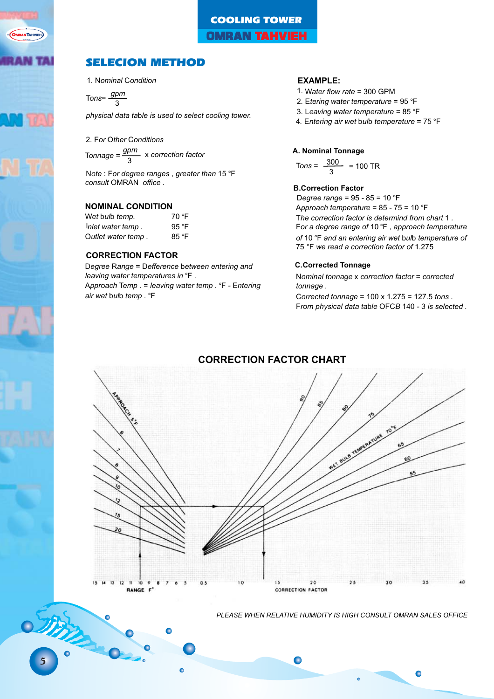

5

STATES

## COOLING TOWER **OMRAN TAHVIEH**

## SELECION METHOD

1. Nominal Condition

Tons= $\frac{gpm}{3}$ 

physical data table is used to select cooling tower.

2. For Other Conditions Tonnage =  $\frac{gpm}{3}$  x correction factor

Note : For degree ranges, greater than 15 °F consult OMRAN office .

#### **NOMINAL CONDITION**

| Wet bulb temp.     | 70 °F |
|--------------------|-------|
| Inlet water temp.  | 95 °F |
| Outlet water temp. | 85 °F |

#### **CORRECTION FACTOR**

Degree Range = Defference between entering and leaving water temperatures in  $\degree$ F. Approach Temp . = leaving water temp .  $eF$  - Entering air wet bulb temp. °F

#### **EXAMPLE:**

- 1. Water flow rate = 300 GPM
- 2. Etering water temperature =  $95^{\circ}$ F
- 3. Leaving water temperature =  $85^{\circ}$ F
- 4. Entering air wet bulb temperature =  $75$  °F

#### **A. Nominal Tonnage**

$$
\text{Tons} = \frac{300}{3} = 100 \text{ TR}
$$

#### **B.Correction Factor**

Degree range =  $95 - 85 = 10$  °F Approach temperature =  $85 - 75 = 10$  °F The correction factor is determind from chart 1 . For a degree range of 10 $\degree$ F, approach temperature of 10  $\degree$ F and an entering air wet bulb temperature of 75 °F we read a correction factor of 1.275

#### **C.Corrected Tonnage**

Nominal tonnage x correction factor = corrected tonnage .

Corrected tonnage =  $100 \times 1.275 = 127.5$  tons. From physical data table OFCB 140 - 3 is selected .



**CORRECTION FACTOR CHART**

**PLEASE WHEN RELATIVE HUMIDITY IS HIGH CONSULT OMRAN SALES OFFICE** 

 $\bullet$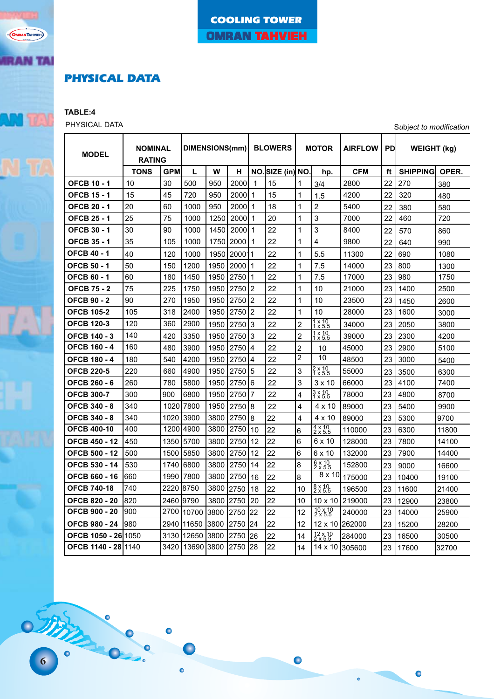## PHYSICAL DATA

**TABLE:4**

**OMRANTAHVIEH** 

**RAN TAI** 

PHYSICAL DATA Subject to modification

 $\bullet$ 

 $\ddot{\bullet}$ 

| <b>MODEL</b>               | <b>NOMINAL</b><br><b>RATING</b> |            | DIMENSIONS(mm) |      |        |                | <b>BLOWERS</b>   |                | <b>MOTOR</b>                        | <b>AIRFLOW</b> | PD | <b>WEIGHT (kg)</b> |       |
|----------------------------|---------------------------------|------------|----------------|------|--------|----------------|------------------|----------------|-------------------------------------|----------------|----|--------------------|-------|
|                            | <b>TONS</b>                     | <b>GPM</b> | L              | W    | н      |                | NO. SIZE (in) NO |                | hp.                                 | <b>CFM</b>     | ft | <b>SHIPPING</b>    | OPER. |
| <b>OFCB 10 - 1</b>         | 10                              | 30         | 500            | 950  | 2000   | $\mathbf 1$    | 15               | 1              | 3/4                                 | 2800           | 22 | 270                | 380   |
| <b>OFCB 15 - 1</b>         | 15                              | 45         | 720            | 950  | 2000   | 1              | 15               | 1              | 1.5                                 | 4200           | 22 | 320                | 480   |
| <b>OFCB 20 - 1</b>         | 20                              | 60         | 1000           | 950  | 2000   | 1              | 18               | 1              | $\overline{2}$                      | 5400           | 22 | 380                | 580   |
| <b>OFCB 25 - 1</b>         | 25                              | 75         | 1000           | 1250 | 2000   | 1              | 20               | 1              | 3                                   | 7000           | 22 | 460                | 720   |
| <b>OFCB 30 - 1</b>         | 30                              | 90         | 1000           | 1450 | 2000   | $\mathbf 1$    | 22               | 1              | 3                                   | 8400           | 22 | 570                | 860   |
| <b>OFCB 35 - 1</b>         | 35                              | 105        | 1000           | 1750 | 2000   | 1              | 22               | 1              | 4                                   | 9800           | 22 | 640                | 990   |
| OFCB 40 - 1                | 40                              | 120        | 1000           | 1950 | 200011 |                | 22               | 1              | 5.5                                 | 11300          | 22 | 690                | 1080  |
| OFCB 50 - 1                | 50                              | 150        | 1200           | 1950 | 2000   | 1              | 22               | 1              | 7.5                                 | 14000          | 23 | 800                | 1300  |
| OFCB 60 - 1                | 60                              | 180        | 1450           | 1950 | 2750   | 1              | 22               | 1              | 7.5                                 | 17000          | 23 | 980                | 1750  |
| <b>OFCB 75 - 2</b>         | 75                              | 225        | 1750           | 1950 | 2750   | 2              | 22               | 1              | 10                                  | 21000          | 23 | 1400               | 2500  |
| <b>OFCB 90 - 2</b>         | 90                              | 270        | 1950           | 1950 | 2750   | $\overline{2}$ | 22               | 1              | 10                                  | 23500          | 23 | 1450               | 2600  |
| <b>OFCB 105-2</b>          | 105                             | 318        | 2400           | 1950 | 2750   | 2              | 22               | 1              | 10                                  | 28000          | 23 | 1600               | 3000  |
| <b>OFCB 120-3</b>          | 120                             | 360        | 2900           | 1950 | 2750   | 3              | 22               | $\overline{2}$ | $1 \times 10$<br>$1 \times 5.5$     | 34000          | 23 | 2050               | 3800  |
| OFCB 140 - 3               | 140                             | 420        | 3350           | 1950 | 2750   | 3              | 22               | $\overline{2}$ | $1 \times 10$<br>$1 \times 5.5$     | 39000          | 23 | 2300               | 4200  |
| OFCB 160 - 4               | 160                             | 480        | 3900           | 1950 | 2750   | 14             | 22               | 2              | 10                                  | 45000          | 23 | 2900               | 5100  |
| OFCB 180 - 4               | 180                             | 540        | 4200           | 1950 | 2750   | $\overline{4}$ | 22               | $\overline{2}$ | 10                                  | 48500          | 23 | 3000               | 5400  |
| <b>OFCB 220-5</b>          | 220                             | 660        | 4900           | 1950 | 2750   | 5              | 22               | 3              | $2 \times 10$<br>1 $\times$ 5.5     | 55000          | 23 | 3500               | 6300  |
| <b>OFCB 260 - 6</b>        | 260                             | 780        | 5800           | 1950 | 2750   | 6              | 22               | 3              | $3 \times 10$                       | 66000          | 23 | 4100               | 7400  |
| <b>OFCB 300-7</b>          | 300                             | 900        | 6800           | 1950 | 2750   | 7              | 22               | 4              | $3 \times 10$<br>1 $\times 5.5$     | 78000          | 23 | 4800               | 8700  |
| OFCB 340 - 8               | 340                             | 1020       | 7800           | 1950 | 2750   | 8              | 22               | 4              | 4 x 10                              | 89000          | 23 | 5400               | 9900  |
| <b>OFCB 340 - 8</b>        | 340                             | 1020       | 3900           | 3800 | 2750   | 8              | 22               | 4              | 4 x 10                              | 89000          | 23 | 5300               | 9700  |
| <b>OFCB 400-10</b>         | 400                             | 1200       | 4900           | 3800 | 2750   | 10             | 22               | 6              | $\frac{4 \times 10}{2 \times 5.5}$  | 110000         | 23 | 6300               | 11800 |
| <b>OFCB 450 - 12</b>       | 450                             | 1350       | 5700           | 3800 | 2750   | 12             | 22               | 6              | 6 x 10                              | 128000         | 23 | 7800               | 14100 |
| <b>OFCB 500 - 12</b>       | 500                             | 1500       | 5850           | 3800 | 2750   | 12             | 22               | 6              | 6 x 10                              | 132000         | 23 | 7900               | 14400 |
| OFCB 530 - 14              | 530                             | 1740       | 6800           | 3800 | 2750   | 14             | 22               | 8              | $\frac{6 \times 10}{2 \times 5.5}$  | 152800         | 23 | 9000               | 16600 |
| OFCB 660 - 16              | 660                             | 1990       | 7800           | 3800 | 2750   | 16             | 22               | 8              | $8 \times 10$                       | 175000         | 23 | 10400              | 19100 |
| <b>OFCB 740-18</b>         | 740                             | 222018750  |                | 3800 | 2750   | 18             | 22               | 10             | $\frac{8 \times 10}{2 \times 5.5}$  | 196500         | 23 | 11600              | 21400 |
| <b>OFCB 820 - 20</b>       | 820                             | 2460 19790 |                | 3800 | 2750   | 20             | 22               | 10             | $10 \times 10$                      | 1219000        | 23 | 12900              | 23800 |
| <b>OFCB 900 - 20</b>       | 900                             | 2700       | 10700          | 3800 | 2750   | 22             | 22               | 12             | $\frac{10 \times 10}{2 \times 5.5}$ | 240000         | 23 | 14000              | 25900 |
| <b>OFCB 980 - 24</b>       | 980                             | 2940       | 11650          | 3800 | 2750   | 24             | 22               | 12             | $12 \times 10$                      | 1262000        | 23 | 15200              | 28200 |
| OFCB 1050 - 26 1050        |                                 | 3130       | 12650          | 3800 | 2750   | 26             | 22               | 14             | $12 \times 10$<br>$2 \times 5.5$    | 284000         | 23 | 16500              | 30500 |
| <b>OFCB 1140 - 2811140</b> |                                 | 3420       | 13690          | 3800 | 2750   | 28             | 22               | 14             | 14 x 10                             | 305600         | 23 | 17600              | 32700 |

 $\bullet$ 

 $\bullet$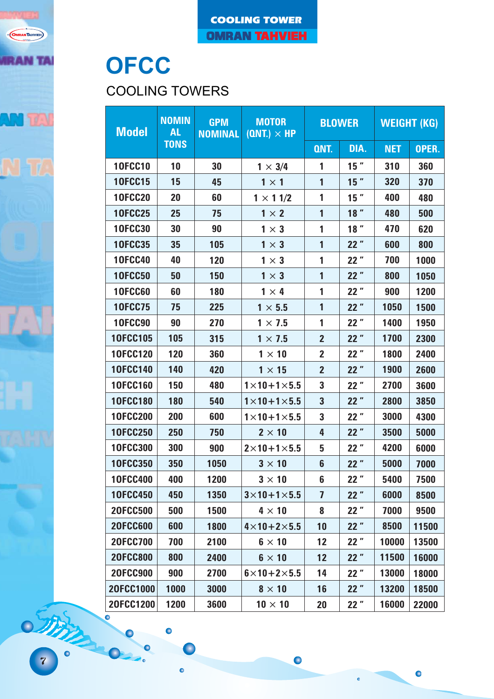

## **OFCC**

COOLING TOWERS

 $\bullet$ 

|   |          | <b>Model</b>    | <b>NOMIN</b><br><b>GPM</b><br><b>MOTOR</b><br><b>BLOWER</b><br><b>AL</b><br>$(ONT.) \times HP$<br><b>NOMINAL</b> |      |                             | <b>WEIGHT (KG)</b>      |        |            |       |
|---|----------|-----------------|------------------------------------------------------------------------------------------------------------------|------|-----------------------------|-------------------------|--------|------------|-------|
|   |          |                 | <b>TONS</b>                                                                                                      |      |                             | QNT.                    | DIA.   | <b>NET</b> | OPER. |
|   |          | <b>10FCC10</b>  | 10                                                                                                               | 30   | $1 \times 3/4$              | 1                       | $15$ " | 310        | 360   |
|   |          | <b>10FCC15</b>  | 15                                                                                                               | 45   | $1 \times 1$                | 1                       | $15$ " | 320        | 370   |
|   |          | <b>10FCC20</b>  | 20                                                                                                               | 60   | $1 \times 11/2$             | 1                       | $15$ " | 400        | 480   |
|   |          | <b>10FCC25</b>  | 25                                                                                                               | 75   | $1 \times 2$                | 1                       | 18"    | 480        | 500   |
|   |          | <b>10FCC30</b>  | 30                                                                                                               | 90   | $1 \times 3$                | 1                       | 18"    | 470        | 620   |
|   |          | <b>10FCC35</b>  | 35                                                                                                               | 105  | $1 \times 3$                | 1                       | 22"    | 600        | 800   |
|   |          | <b>10FCC40</b>  | 40                                                                                                               | 120  | $1 \times 3$                | 1                       | 22"    | 700        | 1000  |
|   |          | <b>10FCC50</b>  | 50                                                                                                               | 150  | $1 \times 3$                | $\overline{1}$          | 22"    | 800        | 1050  |
|   |          | <b>10FCC60</b>  | 60                                                                                                               | 180  | $1 \times 4$                | 1                       | 22"    | 900        | 1200  |
|   |          | <b>10FCC75</b>  | 75                                                                                                               | 225  | $1 \times 5.5$              | 1                       | 22"    | 1050       | 1500  |
| × |          | <b>10FCC90</b>  | 90                                                                                                               | 270  | $1 \times 7.5$              | 1                       | 22"    | 1400       | 1950  |
|   |          | 10FCC105        | 105                                                                                                              | 315  | $1 \times 7.5$              | $\overline{2}$          | 22"    | 1700       | 2300  |
|   |          | <b>10FCC120</b> | 120                                                                                                              | 360  | $1 \times 10$               | $\overline{2}$          | 22"    | 1800       | 2400  |
|   |          | <b>10FCC140</b> | 140                                                                                                              | 420  | $1 \times 15$               | $\overline{2}$          | 22"    | 1900       | 2600  |
|   |          | 10FCC160        | 150                                                                                                              | 480  | $1\times10+1\times5.5$      | $\overline{\mathbf{3}}$ | 22"    | 2700       | 3600  |
|   |          | <b>10FCC180</b> | 180                                                                                                              | 540  | $1\times10+1\times5.5$      | $\overline{\mathbf{3}}$ | 22"    | 2800       | 3850  |
|   |          | <b>10FCC200</b> | 200                                                                                                              | 600  | $1\times10+1\times5.5$      | $\mathbf{3}$            | 22"    | 3000       | 4300  |
|   |          | <b>10FCC250</b> | 250                                                                                                              | 750  | $2 \times 10$               | 4                       | 22"    | 3500       | 5000  |
|   |          | <b>10FCC300</b> | 300                                                                                                              | 900  | $2\times10+1\times5.5$      | 5                       | 22"    | 4200       | 6000  |
|   |          | <b>10FCC350</b> | 350                                                                                                              | 1050 | $3 \times 10$               | $6\phantom{1}$          | 22"    | 5000       | 7000  |
|   |          | <b>10FCC400</b> | 400                                                                                                              | 1200 | $3 \times 10$               | $6\phantom{a}$          | 22"    | 5400       | 7500  |
|   |          | <b>10FCC450</b> | 450                                                                                                              | 1350 | $3\times10+1\times5.5$      | $\overline{1}$          | 22"    | 6000       | 8500  |
|   |          | <b>20FCC500</b> | 500                                                                                                              | 1500 | $4 \times 10$               | 8                       | 22"    | 7000       | 9500  |
|   |          | <b>20FCC600</b> | 600                                                                                                              | 1800 | $4\times$ 10+2 $\times$ 5.5 | 10                      | 22"    | 8500       | 11500 |
|   |          | <b>20FCC700</b> | 700                                                                                                              | 2100 | $6 \times 10$               | 12                      | 22"    | 10000      | 13500 |
|   |          | <b>20FCC800</b> | 800                                                                                                              | 2400 | $6 \times 10$               | 12                      | 22"    | 11500      | 16000 |
|   |          | <b>20FCC900</b> | 900                                                                                                              | 2700 | $6\times10+2\times5.5$      | 14                      | 22"    | 13000      | 18000 |
|   |          | 20FCC1000       | 1000                                                                                                             | 3000 | $8 \times 10$               | 16                      | 22"    | 13200      | 18500 |
|   |          | 20FCC1200       | 1200                                                                                                             | 3600 | $10 \times 10$              | 20                      | 22"    | 16000      | 22000 |
|   | other of |                 | $\bullet$                                                                                                        |      |                             |                         |        |            |       |
|   |          |                 | $\bullet$                                                                                                        |      |                             |                         |        |            |       |

 $\bullet$ 

 $\bullet$ 

 $\ddot{\bullet}$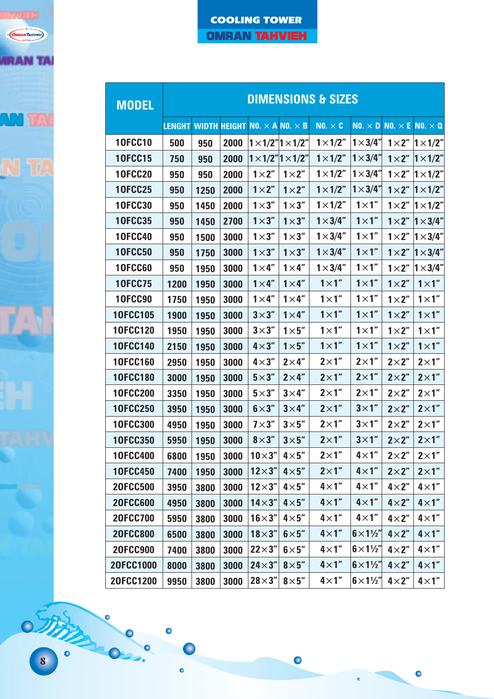

| <b>MODEL</b>    |                            | <b>DIMENSIONS &amp; SIZES</b> |      |                            |                                    |                  |                               |                |                  |  |  |  |
|-----------------|----------------------------|-------------------------------|------|----------------------------|------------------------------------|------------------|-------------------------------|----------------|------------------|--|--|--|
|                 | <b>LENGHT WIDTH HEIGHT</b> |                               |      | $NO. \times ANO. \times B$ |                                    | NO. $\times$ C   | NO. $\times$ D NO. $\times$ E |                | $NO. \times O$   |  |  |  |
| <b>10FCC10</b>  | 500                        | 950                           | 2000 |                            | $1 \times 1/2$ " $1 \times 1/2$ "  | $1 \times 1/2$ " | $1 \times 3/4$ "              | $1 \times 2$ " | $1 \times 1/2$ " |  |  |  |
| <b>10FCC15</b>  | 750                        | 950                           | 2000 |                            | $1 \times 1/2$ "  $1 \times 1/2$ " | $1 \times 1/2$ " | $1 \times 3/4$ "              | $1 \times 2$ " | $1 \times 1/2$ " |  |  |  |
| <b>10FCC20</b>  | 950                        | 950                           | 2000 | $1 \times 2$ "             | $1 \times 2$ "                     | $1 \times 1/2$ " | $1 \times 3/4$ "              | $1 \times 2$ " | $1 \times 1/2$ " |  |  |  |
| <b>10FCC25</b>  | 950                        | 1250                          | 2000 | $1 \times 2$ "             | $1 \times 2$ "                     | $1 \times 1/2$ " | $1 \times 3/4$ "              | $1 \times 2$ " | $1 \times 1/2"$  |  |  |  |
| <b>10FCC30</b>  | 950                        | 1450                          | 2000 | $1\times3$ "               | $1\times3$ "                       | $1 \times 1/2$ " | $1 \times 1$ "                | $1 \times 2$ " | $1 \times 1/2$ " |  |  |  |
| <b>10FCC35</b>  | 950                        | 1450                          | 2700 | $1 \times 3$ "             | $1 \times 3$ "                     | $1 \times 3/4$ " | $1 \times 1$ "                | $1 \times 2$ " | $1 \times 3/4$ " |  |  |  |
| <b>10FCC40</b>  | 950                        | 1500                          | 3000 | $1 \times 3$ "             | $1 \times 3$ "                     | $1 \times 3/4$ " | $1 \times 1$ "                | $1 \times 2$ " | $1 \times 3/4$ " |  |  |  |
| <b>10FCC50</b>  | 950                        | 1750                          | 3000 | $1\times3$ "               | $1 \times 3$ "                     | $1 \times 3/4$ " | $1 \times 1$ "                | $1 \times 2$ " | $1 \times 3/4$ " |  |  |  |
| <b>10FCC60</b>  | 950                        | 1950                          | 3000 | $1 \times 4$ "             | $1 \times 4$ "                     | $1 \times 3/4$ " | $1 \times 1$ "                | $1 \times 2$ " | $1 \times 3/4$ " |  |  |  |
| <b>10FCC75</b>  | 1200                       | 1950                          | 3000 | $1 \times 4$ "             | $1 \times 4$ "                     | $1 \times 1$ "   | $1 \times 1$ "                | $1 \times 2$ " | $1 \times 1$ "   |  |  |  |
| <b>10FCC90</b>  | 1750                       | 1950                          | 3000 | $1 \times 4$ "             | $1 \times 4$ "                     | $1 \times 1$ "   | $1 \times 1$ "                | $1 \times 2$ " | $1 \times 1$ "   |  |  |  |
| <b>10FCC105</b> | 1900                       | 1950                          | 3000 | $3\times3$ "               | $1 \times 4$ "                     | $1 \times 1$ "   | $1 \times 1$ "                | $1 \times 2$ " | $1 \times 1$ "   |  |  |  |
| 10FCC120        | 1950                       | 1950                          | 3000 | $3\times3$ "               | $1 \times 5$ "                     | $1 \times 1$ "   | $1 \times 1$ "                | $1 \times 2$ " | $1 \times 1$ "   |  |  |  |
| 10FCC140        | 2150                       | 1950                          | 3000 | $4\times3$ "               | $1\times5$ "                       | $1 \times 1$ "   | $1 \times 1$ "                | $1 \times 2$ " | $1 \times 1$ "   |  |  |  |
| 10FCC160        | 2950                       | 1950                          | 3000 | $4\times3$ "               | $2\times 4$ "                      | $2\times1"$      | $2\times1$ "                  | $2\times2$ "   | $2\times1"$      |  |  |  |
| <b>10FCC180</b> | 3000                       | 1950                          | 3000 | $5 \times 3"$              | $2\times 4$ "                      | $2\times1$ "     | $2\times1$ "                  | $2\times2$ "   | $2\times1"$      |  |  |  |
| <b>10FCC200</b> | 3350                       | 1950                          | 3000 | $5\times3$ "               | $3\times4$ "                       | $2\times1"$      | $2\times1$ "                  | $2\times2$ "   | $2\times1$ "     |  |  |  |
| <b>10FCC250</b> | 3950                       | 1950                          | 3000 | $6\times3"$                | $3\times 4$ "                      | $2\times1"$      | $3\times1$ "                  | $2\times2$ "   | $2\times1"$      |  |  |  |
| 10FCC300        | 4950                       | 1950                          | 3000 | $7\times3$ "               | $3\times5$ "                       | $2\times1"$      | $3\times1$ "                  | $2\times2$ "   | $2\times1"$      |  |  |  |
| <b>10FCC350</b> | 5950                       | 1950                          | 3000 | $8\times3$ "               | $3\times5$ "                       | $2\times1"$      | $3\times1$ "                  | $2\times2$ "   | $2\times1"$      |  |  |  |
| <b>10FCC400</b> | 6800                       | 1950                          | 3000 | $10\times3"$               | $4\times5"$                        | $2\times1"$      | $4\times1"$                   | $2\times2$ "   | $2\times1"$      |  |  |  |
| <b>10FCC450</b> | 7400                       | 1950                          | 3000 | $12\times3"$               | $4\times5$ "                       | $2\times1"$      | $4\times1"$                   | $2\times2$ "   | $2\times1"$      |  |  |  |
| <b>20FCC500</b> | 3950                       | 3800                          | 3000 | $12\times3$ "              | $4\times5$ "                       | $4 \times 1$ "   | $4 \times 1$ "                | $4 \times 2$ " | $4\times1"$      |  |  |  |
| <b>20FCC600</b> | 4950                       | 3800                          | 3000 | $14\times3$ "              | $4\times5$ "                       | $4 \times 1$ "   | $4\times1"$                   | $4 \times 2$ " | $4 \times 1$ "   |  |  |  |
| <b>20FCC700</b> | 5950                       | 3800                          | 3000 | $16\times3$ "              | $4\times5"$                        | $4\times1$ "     | $4\times1"$                   | $4\times2$ "   | $4\times1"$      |  |  |  |
| <b>20FCC800</b> | 6500                       | 3800                          | 3000 | $18\times3$ "              | $6\times5"$                        | $4\times1"$      | $6\times1\frac{1}{2}$         | $4\times2$ "   | $4 \times 1$ "   |  |  |  |
| <b>20FCC900</b> | 7400                       | 3800                          | 3000 | $22\times3"$               | $6\times5"$                        | $4 \times 1$ "   | $6 \times 1\frac{1}{2}$       | $4 \times 2$ " | $4 \times 1$ "   |  |  |  |
| 20FCC1000       | 8000                       | 3800                          | 3000 | $24\times3"$               | $8\times5$ "                       | $4\times1"$      | $6\times1\frac{1}{2}$         | $4\times2$ "   | $4 \times 1$ "   |  |  |  |
| 20FCC1200       | 9950                       | 3800                          | 3000 | $28\times3"$               | $8\times5$ "                       | $4\times1"$      | $6\times1\frac{1}{2}$         | $4 \times 2$ " | $4\times1"$      |  |  |  |

 $\bullet$ 

 $\bullet$ 

 $\ddot{\bullet}$ 

 $\bullet$ 

 $\bullet$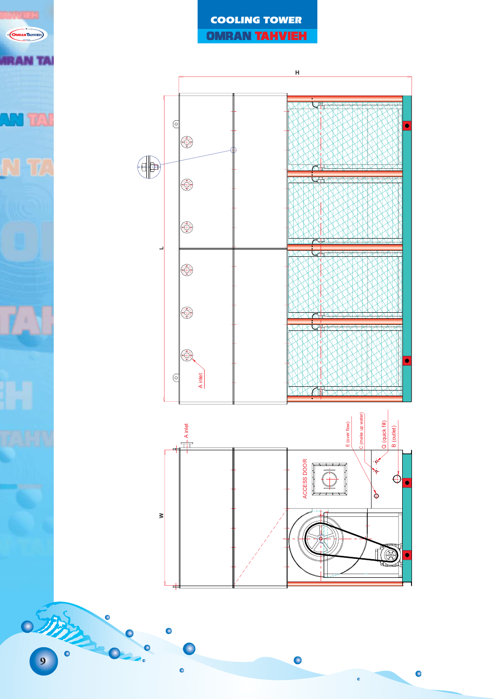



 $\bullet$ 

 $\bullet$ 

 $\ddot{\bullet}$ 

 $\bullet$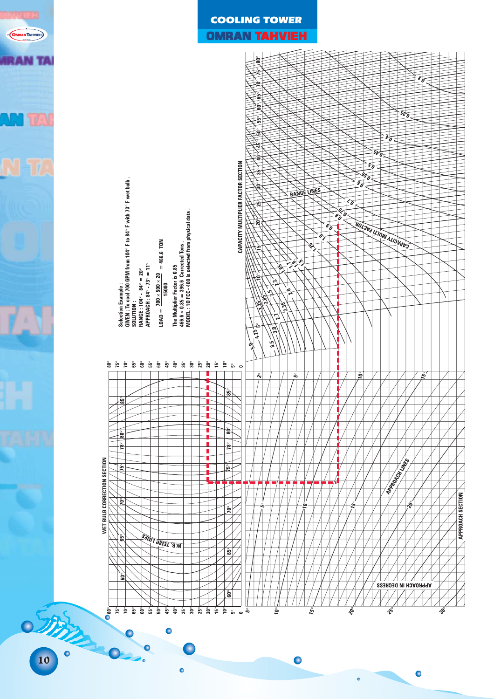

## COOLING TOWER

## **OMRAN TAHVIEH**



 $\bullet$ 

 $\ddot{\bullet}$